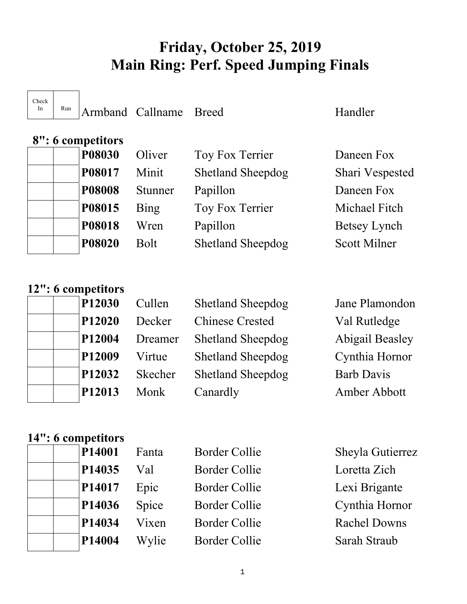# **Friday, October 25, 2019 Main Ring: Perf. Speed Jumping Finals**

Check

In Run Armband Callname Breed Handler

| $\upsilon$ . $\upsilon$ competitions |             |                          |                     |
|--------------------------------------|-------------|--------------------------|---------------------|
| <b>P08030</b>                        | Oliver      | Toy Fox Terrier          | Daneen Fox          |
| P08017                               | Minit       | <b>Shetland Sheepdog</b> | Shari Vespested     |
| <b>P08008</b>                        | Stunner     | Papillon                 | Daneen Fox          |
| P08015                               | Bing        | Toy Fox Terrier          | Michael Fitch       |
| <b>P08018</b>                        | Wren        | Papillon                 | Betsey Lynch        |
| <b>P08020</b>                        | <b>Bolt</b> | <b>Shetland Sheepdog</b> | <b>Scott Milner</b> |
|                                      |             |                          |                     |

|  |  |  |  | 12": 6 competitors |
|--|--|--|--|--------------------|
|--|--|--|--|--------------------|

 **8": 6 competitors** 

|  | P12030             |
|--|--------------------|
|  | P <sub>12020</sub> |
|  | P <sub>12004</sub> |
|  | P <sub>12009</sub> |
|  | P12032             |
|  | P12013             |

| P12030<br>Cullen  | <b>Shetland Sheepdog</b> | Jane Plamondon         |
|-------------------|--------------------------|------------------------|
| P12020<br>Decker  | <b>Chinese Crested</b>   | Val Rutledge           |
| P12004<br>Dreamer | <b>Shetland Sheepdog</b> | <b>Abigail Beasley</b> |
| P12009<br>Virtue  | <b>Shetland Sheepdog</b> | Cynthia Hornor         |
| P12032<br>Skecher | <b>Shetland Sheepdog</b> | <b>Barb Davis</b>      |
| P12013<br>Monk    | Canardly                 | Amber Abbott           |

## **14": 6 competitors**

| <b>Border Collie</b><br>P14001<br>Fanta | Sheyla Gutierrez    |
|-----------------------------------------|---------------------|
| P14035<br><b>Border Collie</b><br>Val   | Loretta Zich        |
| P14017<br>Border Collie<br>Epic         | Lexi Brigante       |
| P14036<br>Spice<br>Border Collie        | Cynthia Hornor      |
| P14034<br>Border Collie<br>Vixen        | <b>Rachel Downs</b> |
| P14004<br>Border Collie<br>Wylie        | Sarah Straub        |